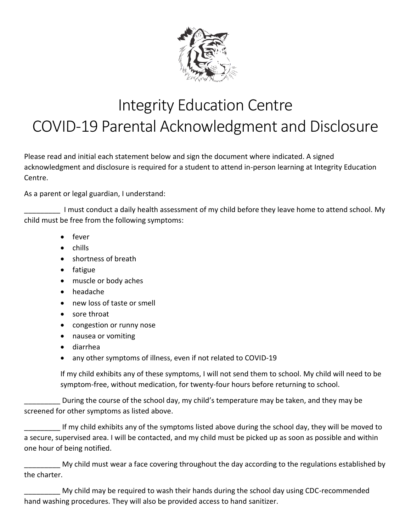

## Integrity Education Centre COVID-19 Parental Acknowledgment and Disclosure

Please read and initial each statement below and sign the document where indicated. A signed acknowledgment and disclosure is required for a student to attend in-person learning at Integrity Education Centre.

As a parent or legal guardian, I understand:

I must conduct a daily health assessment of my child before they leave home to attend school. My child must be free from the following symptoms:

- fever
- chills
- shortness of breath
- fatigue
- muscle or body aches
- headache
- new loss of taste or smell
- sore throat
- congestion or runny nose
- nausea or vomiting
- diarrhea
- any other symptoms of illness, even if not related to COVID-19

If my child exhibits any of these symptoms, I will not send them to school. My child will need to be symptom-free, without medication, for twenty-four hours before returning to school.

\_\_\_\_\_\_\_\_\_ During the course of the school day, my child's temperature may be taken, and they may be screened for other symptoms as listed above.

If my child exhibits any of the symptoms listed above during the school day, they will be moved to a secure, supervised area. I will be contacted, and my child must be picked up as soon as possible and within one hour of being notified.

My child must wear a face covering throughout the day according to the regulations established by the charter.

My child may be required to wash their hands during the school day using CDC-recommended hand washing procedures. They will also be provided access to hand sanitizer.